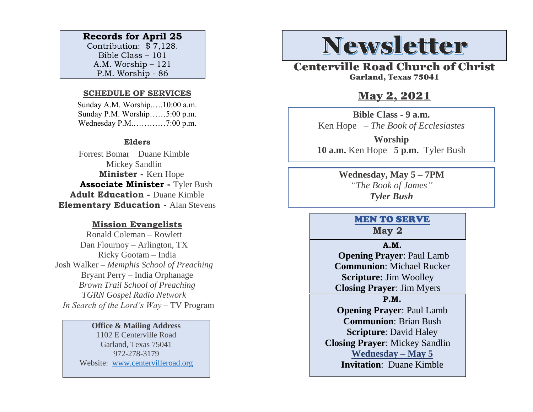### **Records for April 25**

Contribution: \$ 7,128. Bible Class – 101 A.M. Worship – 121 P.M. Worship - 86

#### **SCHEDULE OF SERVICES**

 Sunday A.M. Worship.….10:00 a.m. Sunday P.M. Worship……5:00 p.m. Wednesday P.M.…………7:00 p.m.

### **Elders**

Forrest Bomar Duane Kimble Mickey Sandlin  **Minister -** Ken Hope  **Associate Minister -** Tyler Bush **Adult Education -** Duane Kimble **Elementary Education -** Alan Stevens

#### **Mission Evangelists**

Ronald Coleman – Rowlett Dan Flournoy – Arlington, TX Ricky Gootam – India Josh Walker – *Memphis School of Preaching* Bryant Perry – India Orphanage *Brown Trail School of Preaching TGRN Gospel Radio Network In Search of the Lord's Way* – TV Program

#### **Office & Mailing Address**

1102 E Centerville Road Garland, Texas 75041 972-278-3179 Website: [www.centervilleroad.org](https://d.docs.live.net/97e199c461b763eb/Newsletter/News%202020/August%202020/www.centervilleroad.org)

# **Newsletter**

Centerville Road Church of Christ Garland, Texas 75041

## May 2, 2021

**Bible Class - 9 a.m.** Ken Hope *– The Book of Ecclesiastes*

**Worship 10 a.m.** Ken Hope **5 p.m.** Tyler Bush

> **Wednesday, May 5 – 7PM** *"The Book of James" Tyler Bush*

### MEN TO SERVE

**May 2**

#### **A.M.**

 **Opening Prayer**: Paul Lamb **Communion**: Michael Rucker **Scripture:** Jim Woolley **Closing Prayer**: Jim Myers

**P.M.**

**Opening Prayer**: Paul Lamb **Communion**: Brian Bush **Scripture**: David Haley **Closing Prayer**: Mickey Sandlin **Wednesday – May 5 Invitation**: Duane Kimble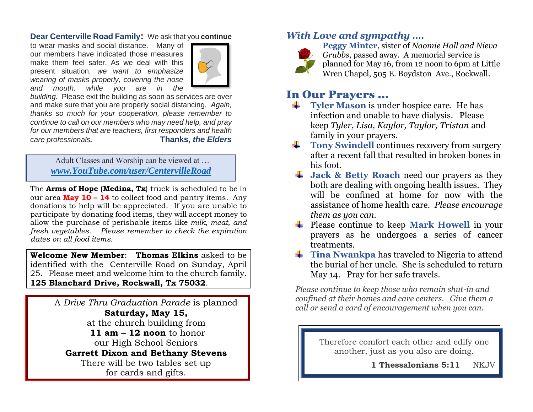### **Dear Centerville Road Family:** We ask that you **continue**

to wear masks and social distance. Many of our members have indicated those measures make them feel safer. As we deal with this present situation, *we want to emphasize wearing of masks properly, covering the nose and mouth, while you are in the* 



*building.* Please exit the building as soon as services are over and make sure that you are properly social distancing. *Again, thanks so much for your cooperation, please remember to continue to call on our members who may need help, and pray for our members that are teachers, first responders and health care professionals.* **Thanks,** *the Elders*

Adult Classes and Worship can be viewed at … *[www.YouTube.com/user/CentervilleRoad](http://www.youtube.com/user/CentervilleRoad)*

The **Arms of Hope (Medina, Tx**) truck is scheduled to be in our area **May 10 – 14** to collect food and pantry items. Any donations to help will be appreciated. If you are unable to participate by donating food items, they will accept money to allow the purchase of perishable items like *milk, meat, and fresh vegetables*. *Please remember to check the expiration dates on all food items.* 

**Welcome New Member**: **Thomas Elkins** asked to be identified with the Centerville Road on Sunday, April 25. Please meet and welcome him to the church family. **125 Blanchard Drive, Rockwall, Tx 75032**.

> A *Drive Thru Graduation Parade* is planned **Saturday, May 15,**  at the church building from **11 am – 12 noon** to honor our High School Seniors **Garrett Dixon and Bethany Stevens** There will be two tables set up for cards and gifts.

### *With Love and sympathy ….*



**Peggy Minter**, sister of *Naomie Hall and Nieva Grubbs*, passed away. A memorial service is planned for May 16, from 12 noon to 6pm at Little Wren Chapel, 505 E. Boydston Ave., Rockwall.

## I[n Ou](https://freepngimg.com/png/27406-single-red-rose-hd)r Prayers …

- **Tyler Mason** is under hospice care. He has infection and unable to have dialysis. Please keep *Tyler, Lisa, Kaylor, Taylor, Tristan* and family in your prayers.
- **Tony Swindell** continues recovery from surgery after a recent fall that resulted in broken bones in [h](https://creativecommons.org/licenses/by-nc/3.0/)is foot.
- **↓ [J](https://creativecommons.org/licenses/by-nc/3.0/)ack & Betty Roach** need our prayers as they both are dealing with ongoing health issues. They will be confined at home for now with the assistance of home health care.*Please encourage them as you can.*
- Please continue to keep **Mark Howell** in your prayers as he undergoes a series of cancer treatments.
- **Tina Nwankpa** has traveled to Nigeria to attend the burial of her uncle. She is scheduled to return May 14. Pray for her safe travels.

*Please continue to keep those who remain shut-in and confined at their homes and care centers. Give them a call or send a card of encouragement when you can.* 

> Therefore comfort each other and edify one another, just as you also are doing.

> > **1 Thessalonians 5:11** NKJV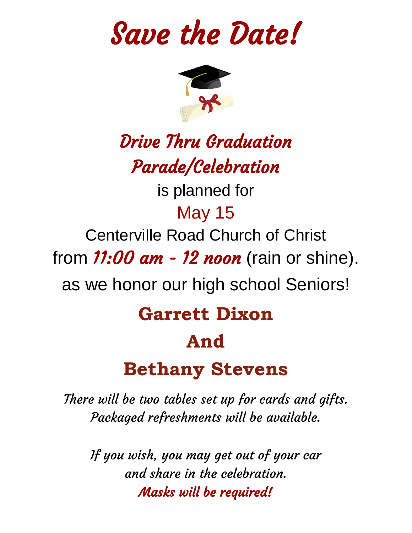Save the Date!



# Drive Thru Graduation Parade/Celebration

is planned for

## May 15

Centerville Road Church of Christ

from  $11:00$  am - 12 noon (rain or shine).

as we honor our high school Seniors!

## **Garrett Dixon**

## **And**

## **Bethany Stevens**

There will be two tables set up for cards and gifts. Packaged refreshments will be available.

If you wish, you may get out of your car and share in the celebration. Masks will be required!